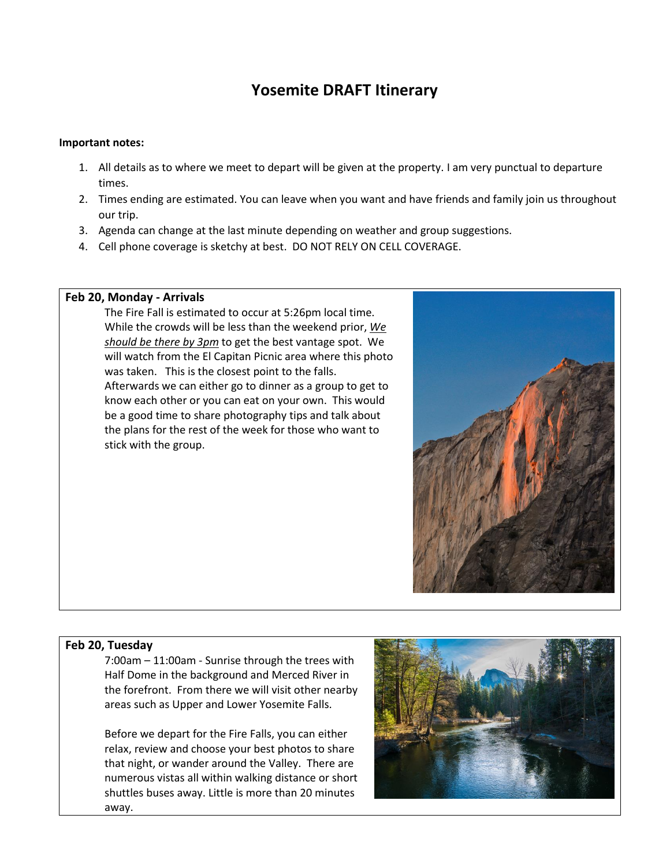# **Yosemite DRAFT Itinerary**

#### **Important notes:**

- 1. All details as to where we meet to depart will be given at the property. I am very punctual to departure times.
- 2. Times ending are estimated. You can leave when you want and have friends and family join us throughout our trip.
- 3. Agenda can change at the last minute depending on weather and group suggestions.
- 4. Cell phone coverage is sketchy at best. DO NOT RELY ON CELL COVERAGE.

#### **Feb 20, Monday - Arrivals**

The Fire Fall is estimated to occur at 5:26pm local time. While the crowds will be less than the weekend prior, *We should be there by 3pm* to get the best vantage spot. We will watch from the El Capitan Picnic area where this photo was taken. This is the closest point to the falls. Afterwards we can either go to dinner as a group to get to know each other or you can eat on your own. This would be a good time to share photography tips and talk about the plans for the rest of the week for those who want to stick with the group.



#### **Feb 20, Tuesday**

7:00am – 11:00am - Sunrise through the trees with Half Dome in the background and Merced River in the forefront. From there we will visit other nearby areas such as Upper and Lower Yosemite Falls.

Before we depart for the Fire Falls, you can either relax, review and choose your best photos to share that night, or wander around the Valley. There are numerous vistas all within walking distance or short shuttles buses away. Little is more than 20 minutes away.

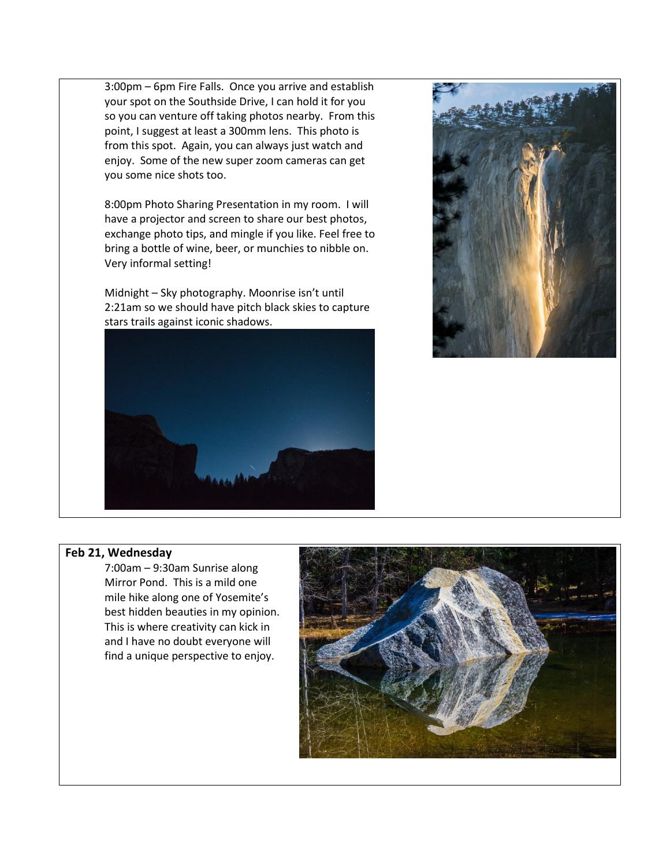3:00pm – 6pm Fire Falls. Once you arrive and establish your spot on the Southside Drive, I can hold it for you so you can venture off taking photos nearby. From this point, I suggest at least a 300mm lens. This photo is from this spot. Again, you can always just watch and enjoy. Some of the new super zoom cameras can get you some nice shots too.

8:00pm Photo Sharing Presentation in my room. I will have a projector and screen to share our best photos, exchange photo tips, and mingle if you like. Feel free to bring a bottle of wine, beer, or munchies to nibble on. Very informal setting!

Midnight – Sky photography. Moonrise isn't until 2:21am so we should have pitch black skies to capture stars trails against iconic shadows.





## **Feb 21, Wednesday**

7:00am – 9:30am Sunrise along Mirror Pond. This is a mild one mile hike along one of Yosemite's best hidden beauties in my opinion. This is where creativity can kick in and I have no doubt everyone will find a unique perspective to enjoy.